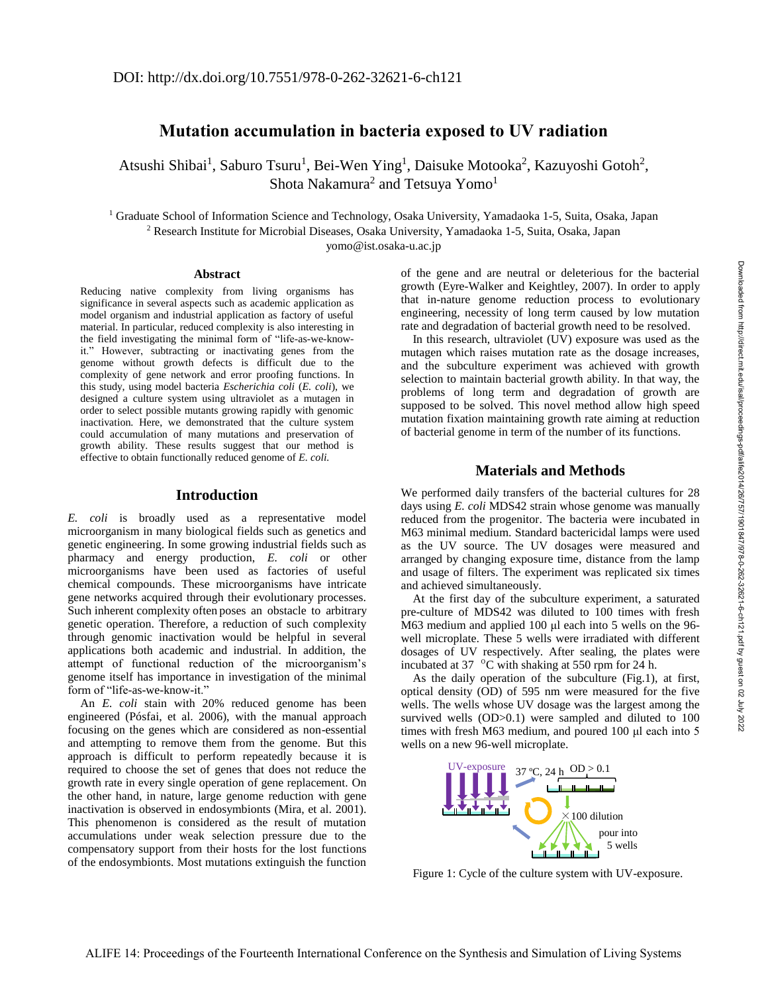Downloaded from http://direct.mit.edu/isal/proceedings-pdf/alife2014/26/757/1901847/978-0-262-32621-6-ch121.pdf by guest on 02 July 2022

Downloaded from http://direct.mit.edu/isal/proceedings-pdf/alife2014/26/71901847/978-0-262-32621-6-ch1211pdf by guest on 02 July 2022

# **Mutation accumulation in bacteria exposed to UV radiation**

Atsushi Shibai<sup>1</sup>, Saburo Tsuru<sup>1</sup>, Bei-Wen Ying<sup>1</sup>, Daisuke Motooka<sup>2</sup>, Kazuyoshi Gotoh<sup>2</sup>, Shota Nakamura $^2$  and Tetsuya  $\rm{Yomo^1}$ 

<sup>1</sup> Graduate School of Information Science and Technology, Osaka University, Yamadaoka 1-5, Suita, Osaka, Japan <sup>2</sup> Research Institute for Microbial Diseases, Osaka University, Yamadaoka 1-5, Suita, Osaka, Japan yomo@ist.osaka-u.ac.jp

### **Abstract**

Reducing native complexity from living organisms has significance in several aspects such as academic application as model organism and industrial application as factory of useful material. In particular, reduced complexity is also interesting in the field investigating the minimal form of "life-as-we-knowit." However, subtracting or inactivating genes from the genome without growth defects is difficult due to the complexity of gene network and error proofing functions. In this study, using model bacteria *Escherichia coli* (*E. coli*), we designed a culture system using ultraviolet as a mutagen in order to select possible mutants growing rapidly with genomic inactivation. Here, we demonstrated that the culture system could accumulation of many mutations and preservation of growth ability. These results suggest that our method is effective to obtain functionally reduced genome of *E. coli.*

## **Introduction**

*E. coli* is broadly used as a representative model microorganism in many biological fields such as genetics and genetic engineering. In some growing industrial fields such as pharmacy and energy production, *E. coli* or other microorganisms have been used as factories of useful chemical compounds. These microorganisms have intricate gene networks acquired through their evolutionary processes. Such inherent complexity often poses an obstacle to arbitrary genetic operation. Therefore, a reduction of such complexity through genomic inactivation would be helpful in several applications both academic and industrial. In addition, the attempt of functional reduction of the microorganism's genome itself has importance in investigation of the minimal form of "life-as-we-know-it."

An *E. coli* stain with 20% reduced genome has been engineered (Pósfai, et al. 2006), with the manual approach focusing on the genes which are considered as non-essential and attempting to remove them from the genome. But this approach is difficult to perform repeatedly because it is required to choose the set of genes that does not reduce the growth rate in every single operation of gene replacement. On the other hand, in nature, large genome reduction with gene inactivation is observed in endosymbionts (Mira, et al. 2001). This phenomenon is considered as the result of mutation accumulations under weak selection pressure due to the compensatory support from their hosts for the lost functions of the endosymbionts. Most mutations extinguish the function of the gene and are neutral or deleterious for the bacterial growth (Eyre-Walker and Keightley, 2007). In order to apply that in-nature genome reduction process to evolutionary engineering, necessity of long term caused by low mutation rate and degradation of bacterial growth need to be resolved.

In this research, ultraviolet (UV) exposure was used as the mutagen which raises mutation rate as the dosage increases, and the subculture experiment was achieved with growth selection to maintain bacterial growth ability. In that way, the problems of long term and degradation of growth are supposed to be solved. This novel method allow high speed mutation fixation maintaining growth rate aiming at reduction of bacterial genome in term of the number of its functions.

## **Materials and Methods**

We performed daily transfers of the bacterial cultures for 28 days using *E. coli* MDS42 strain whose genome was manually reduced from the progenitor. The bacteria were incubated in M63 minimal medium. Standard bactericidal lamps were used as the UV source. The UV dosages were measured and arranged by changing exposure time, distance from the lamp and usage of filters. The experiment was replicated six times and achieved simultaneously.

At the first day of the subculture experiment, a saturated pre-culture of MDS42 was diluted to 100 times with fresh M63 medium and applied 100 μl each into 5 wells on the 96 well microplate. These 5 wells were irradiated with different dosages of UV respectively. After sealing, the plates were incubated at 37 ºC with shaking at 550 rpm for 24 h.

As the daily operation of the subculture (Fig.1), at first, optical density (OD) of 595 nm were measured for the five wells. The wells whose UV dosage was the largest among the survived wells (OD>0.1) were sampled and diluted to 100 times with fresh M63 medium, and poured 100 μl each into 5 wells on a new 96-well microplate.



Figure 1: Cycle of the culture system with UV-exposure.